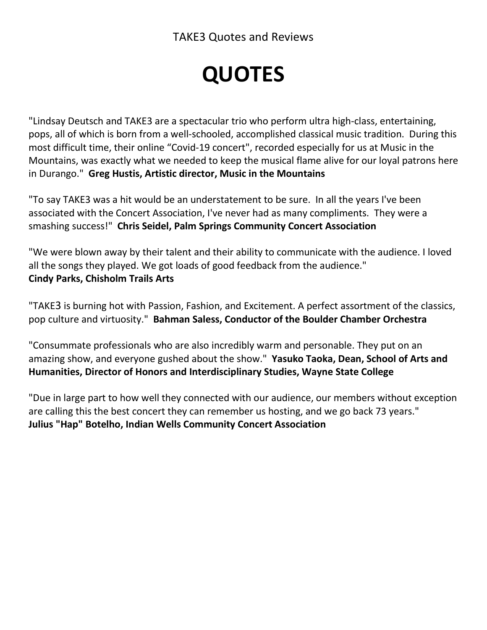# **QUOTES**

"Lindsay Deutsch and TAKE3 are a spectacular trio who perform ultra high-class, entertaining, pops, all of which is born from a well-schooled, accomplished classical music tradition. During this most difficult time, their online "Covid-19 concert", recorded especially for us at Music in the Mountains, was exactly what we needed to keep the musical flame alive for our loyal patrons here in Durango." **Greg Hustis, Artistic director, Music in the Mountains**

"To say TAKE3 was a hit would be an understatement to be sure. In all the years I've been associated with the Concert Association, I've never had as many compliments. They were a smashing success!" **Chris Seidel, Palm Springs Community Concert Association**

"We were blown away by their talent and their ability to communicate with the audience. I loved all the songs they played. We got loads of good feedback from the audience." **Cindy Parks, Chisholm Trails Arts**

"TAKE3 is burning hot with Passion, Fashion, and Excitement. A perfect assortment of the classics, pop culture and virtuosity." **Bahman Saless, Conductor of the Boulder Chamber Orchestra**

"Consummate professionals who are also incredibly warm and personable. They put on an amazing show, and everyone gushed about the show." **Yasuko Taoka, Dean, School of Arts and Humanities, Director of Honors and Interdisciplinary Studies, Wayne State College**

"Due in large part to how well they connected with our audience, our members without exception are calling this the best concert they can remember us hosting, and we go back 73 years." **Julius "Hap" Botelho, Indian Wells Community Concert Association**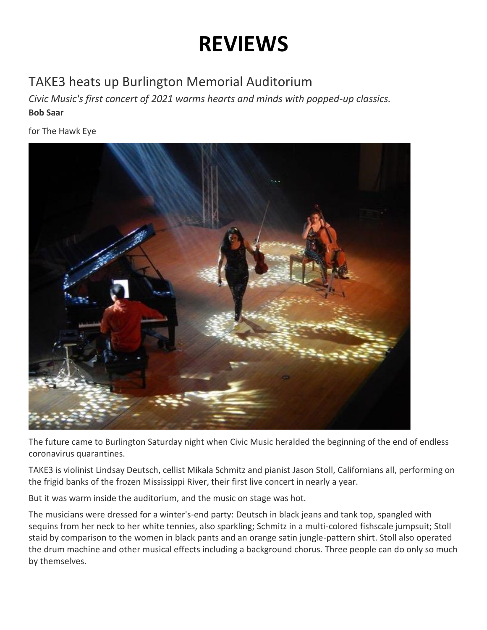## **REVIEWS**

### TAKE3 heats up Burlington Memorial Auditorium

*Civic Music's first concert of 2021 warms hearts and minds with popped-up classics.* **Bob Saar**

for The Hawk Eye



The future came to Burlington Saturday night when Civic Music heralded the beginning of the end of endless coronavirus quarantines.

TAKE3 is violinist Lindsay Deutsch, cellist Mikala Schmitz and pianist Jason Stoll, Californians all, performing on the frigid banks of the frozen Mississippi River, their first live concert in nearly a year.

But it was warm inside the auditorium, and the music on stage was hot.

The musicians were dressed for a winter's-end party: Deutsch in black jeans and tank top, spangled with sequins from her neck to her white tennies, also sparkling; Schmitz in a multi-colored fishscale jumpsuit; Stoll staid by comparison to the women in black pants and an orange satin jungle-pattern shirt. Stoll also operated the drum machine and other musical effects including a background chorus. Three people can do only so much by themselves.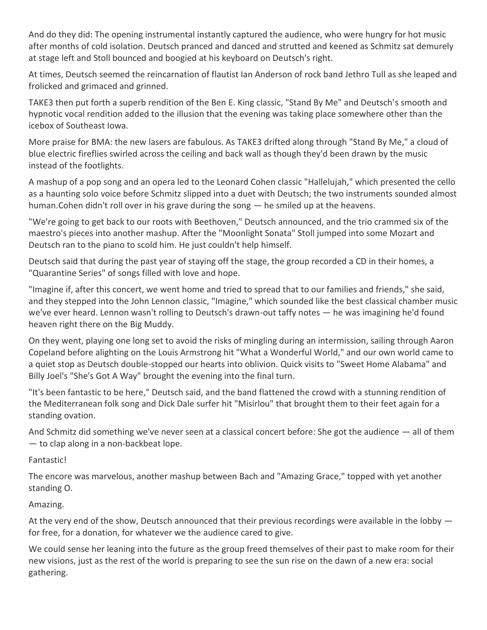And do they did: The opening instrumental instantly captured the audience, who were hungry for hot music after months of cold isolation. Deutsch pranced and danced and strutted and keened as Schmitz sat demurely at stage left and Stoll bounced and boogied at his keyboard on Deutsch's right.

At times, Deutsch seemed the reincarnation of flautist Ian Anderson of rock band Jethro Tull as she leaped and frolicked and grimaced and grinned.

TAKE3 then put forth a superb rendition of the Ben E. King classic, "Stand By Me" and Deutsch's smooth and hypnotic vocal rendition added to the illusion that the evening was taking place somewhere other than the icebox of Southeast Iowa.

More praise for BMA: the new lasers are fabulous. As TAKE3 drifted along through "Stand By Me," a cloud of blue electric fireflies swirled across the ceiling and back wall as though they'd been drawn by the music instead of the footlights.

A mashup of a pop song and an opera led to the Leonard Cohen classic "Hallelujah," which presented the cello as a haunting solo voice before Schmitz slipped into a duet with Deutsch; the two instruments sounded almost human.Cohen didn't roll over in his grave during the song — he smiled up at the heavens.

"We're going to get back to our roots with Beethoven," Deutsch announced, and the trio crammed six of the maestro's pieces into another mashup. After the "Moonlight Sonata" Stoll jumped into some Mozart and Deutsch ran to the piano to scold him. He just couldn't help himself.

Deutsch said that during the past year of staying off the stage, the group recorded a CD in their homes, a "Quarantine Series" of songs filled with love and hope.

"Imagine if, after this concert, we went home and tried to spread that to our families and friends," she said, and they stepped into the John Lennon classic, "Imagine," which sounded like the best classical chamber music we've ever heard. Lennon wasn't rolling to Deutsch's drawn-out taffy notes — he was imagining he'd found heaven right there on the Big Muddy.

On they went, playing one long set to avoid the risks of mingling during an intermission, sailing through Aaron Copeland before alighting on the Louis Armstrong hit "What a Wonderful World," and our own world came to a quiet stop as Deutsch double-stopped our hearts into oblivion. Quick visits to "Sweet Home Alabama" and Billy Joel's "She's Got A Way" brought the evening into the final turn.

"It's been fantastic to be here," Deutsch said, and the band flattened the crowd with a stunning rendition of the Mediterranean folk song and Dick Dale surfer hit "Misirlou" that brought them to their feet again for a standing ovation.

And Schmitz did something we've never seen at a classical concert before: She got the audience — all of them — to clap along in a non-backbeat lope.

Fantastic!

The encore was marvelous, another mashup between Bach and "Amazing Grace," topped with yet another standing O.

Amazing.

At the very end of the show, Deutsch announced that their previous recordings were available in the lobby for free, for a donation, for whatever we the audience cared to give.

We could sense her leaning into the future as the group freed themselves of their past to make room for their new visions, just as the rest of the world is preparing to see the sun rise on the dawn of a new era: social gathering.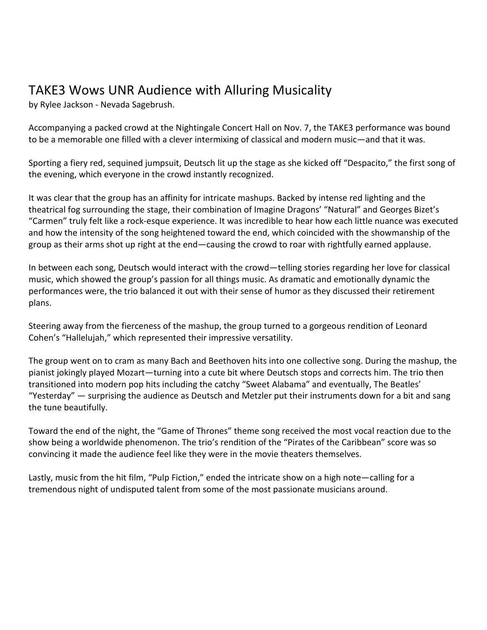#### TAKE3 Wows UNR Audience with Alluring Musicality

by Rylee Jackson - Nevada Sagebrush.

Accompanying a packed crowd at the Nightingale Concert Hall on Nov. 7, the TAKE3 performance was bound to be a memorable one filled with a clever intermixing of classical and modern music—and that it was.

Sporting a fiery red, sequined jumpsuit, Deutsch lit up the stage as she kicked off "Despacito," the first song of the evening, which everyone in the crowd instantly recognized.

It was clear that the group has an affinity for intricate mashups. Backed by intense red lighting and the theatrical fog surrounding the stage, their combination of Imagine Dragons' "Natural" and Georges Bizet's "Carmen" truly felt like a rock-esque experience. It was incredible to hear how each little nuance was executed and how the intensity of the song heightened toward the end, which coincided with the showmanship of the group as their arms shot up right at the end—causing the crowd to roar with rightfully earned applause.

In between each song, Deutsch would interact with the crowd—telling stories regarding her love for classical music, which showed the group's passion for all things music. As dramatic and emotionally dynamic the performances were, the trio balanced it out with their sense of humor as they discussed their retirement plans.

Steering away from the fierceness of the mashup, the group turned to a gorgeous rendition of Leonard Cohen's "Hallelujah," which represented their impressive versatility.

The group went on to cram as many Bach and Beethoven hits into one collective song. During the mashup, the pianist jokingly played Mozart—turning into a cute bit where Deutsch stops and corrects him. The trio then transitioned into modern pop hits including the catchy "Sweet Alabama" and eventually, The Beatles' "Yesterday" — surprising the audience as Deutsch and Metzler put their instruments down for a bit and sang the tune beautifully.

Toward the end of the night, the "Game of Thrones" theme song received the most vocal reaction due to the show being a worldwide phenomenon. The trio's rendition of the "Pirates of the Caribbean" score was so convincing it made the audience feel like they were in the movie theaters themselves.

Lastly, music from the hit film, "Pulp Fiction," ended the intricate show on a high note—calling for a tremendous night of undisputed talent from some of the most passionate musicians around.